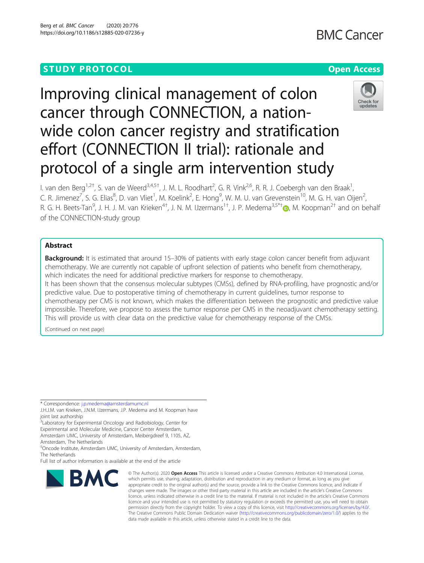# **STUDY PROTOCOL CONSUMING THE RESERVE ACCESS**

# **BMC Cancer**

# Improving clinical management of colon cancer through CONNECTION, a nationwide colon cancer registry and stratification effort (CONNECTION II trial): rationale and protocol of a single arm intervention study



I. van den Berg<sup>1,2†</sup>, S. van de Weerd<sup>3,4,5†</sup>, J. M. L. Roodhart<sup>2</sup>, G. R. Vink<sup>2,6</sup>, R. R. J. Coebergh van den Braak<sup>1</sup> , C. R. Jimenez<sup>7</sup>, S. G. Elias<sup>8</sup>, D. van Vliet<sup>1</sup>, M. Koelink<sup>2</sup>, E. Hong<sup>9</sup>, W. M. U. van Grevenstein<sup>10</sup>, M. G. H. van Oijen<sup>2</sup> .<br>, R. G. H. Beets-Tan<sup>9</sup>, J. H. J. M. van Krieken<sup>4[†](http://orcid.org/0000-0003-3045-2924)</sup>, J. N. M. IJzermans<sup>1†</sup>, J. P. Medema<sup>3,5\*†</sup>®, M. Koopman<sup>2†</sup> and on behalf of the CONNECTION-study group

# Abstract

**Background:** It is estimated that around 15–30% of patients with early stage colon cancer benefit from adjuvant chemotherapy. We are currently not capable of upfront selection of patients who benefit from chemotherapy, which indicates the need for additional predictive markers for response to chemotherapy.

It has been shown that the consensus molecular subtypes (CMSs), defined by RNA-profiling, have prognostic and/or predictive value. Due to postoperative timing of chemotherapy in current guidelines, tumor response to chemotherapy per CMS is not known, which makes the differentiation between the prognostic and predictive value impossible. Therefore, we propose to assess the tumor response per CMS in the neoadjuvant chemotherapy setting.

This will provide us with clear data on the predictive value for chemotherapy response of the CMSs.

(Continued on next page)

<sup>3</sup> Laboratory for Experimental Oncology and Radiobiology, Center for Experimental and Molecular Medicine, Cancer Center Amsterdam, Amsterdam UMC, University of Amsterdam, Meibergdreef 9, 1105, AZ,

Amsterdam, The Netherlands

5 Oncode Institute, Amsterdam UMC, University of Amsterdam, Amsterdam, The Netherlands

Full list of author information is available at the end of the article



<sup>©</sup> The Author(s), 2020 **Open Access** This article is licensed under a Creative Commons Attribution 4.0 International License, which permits use, sharing, adaptation, distribution and reproduction in any medium or format, as long as you give appropriate credit to the original author(s) and the source, provide a link to the Creative Commons licence, and indicate if changes were made. The images or other third party material in this article are included in the article's Creative Commons licence, unless indicated otherwise in a credit line to the material. If material is not included in the article's Creative Commons licence and your intended use is not permitted by statutory regulation or exceeds the permitted use, you will need to obtain permission directly from the copyright holder. To view a copy of this licence, visit [http://creativecommons.org/licenses/by/4.0/.](http://creativecommons.org/licenses/by/4.0/) The Creative Commons Public Domain Dedication waiver [\(http://creativecommons.org/publicdomain/zero/1.0/](http://creativecommons.org/publicdomain/zero/1.0/)) applies to the data made available in this article, unless otherwise stated in a credit line to the data.

<sup>\*</sup> Correspondence: [j.p.medema@amsterdamumc.nl](mailto:j.p.medema@amsterdamumc.nl)

J.H.J.M. van Krieken, J.N.M. IJzermans, J.P. Medema and M. Koopman have joint last authorship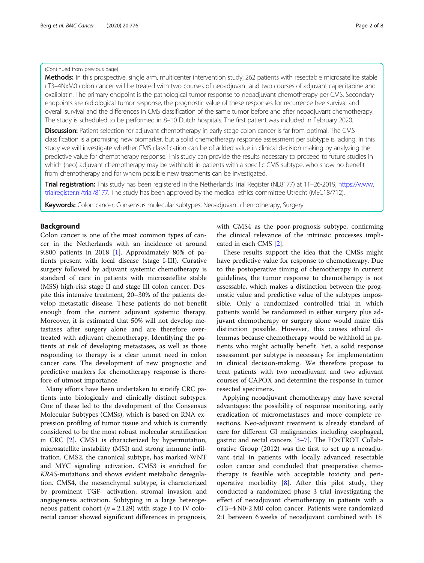# (Continued from previous page)

Methods: In this prospective, single arm, multicenter intervention study, 262 patients with resectable microsatellite stable cT3–4NxM0 colon cancer will be treated with two courses of neoadjuvant and two courses of adjuvant capecitabine and oxaliplatin. The primary endpoint is the pathological tumor response to neoadjuvant chemotherapy per CMS. Secondary endpoints are radiological tumor response, the prognostic value of these responses for recurrence free survival and overall survival and the differences in CMS classification of the same tumor before and after neoadjuvant chemotherapy. The study is scheduled to be performed in 8–10 Dutch hospitals. The first patient was included in February 2020.

Discussion: Patient selection for adjuvant chemotherapy in early stage colon cancer is far from optimal. The CMS classification is a promising new biomarker, but a solid chemotherapy response assessment per subtype is lacking. In this study we will investigate whether CMS classification can be of added value in clinical decision making by analyzing the predictive value for chemotherapy response. This study can provide the results necessary to proceed to future studies in which (neo) adjuvant chemotherapy may be withhold in patients with a specific CMS subtype, who show no benefit from chemotherapy and for whom possible new treatments can be investigated.

Trial registration: This study has been registered in the Netherlands Trial Register (NL8177) at 11-26-2019, [https://www.](https://www.trialregister.nl/trial/8177) [trialregister.nl/trial/8177.](https://www.trialregister.nl/trial/8177) The study has been approved by the medical ethics committee Utrecht (MEC18/712).

Keywords: Colon cancer, Consensus molecular subtypes, Neoadjuvant chemotherapy, Surgery

# Background

Colon cancer is one of the most common types of cancer in the Netherlands with an incidence of around 9.800 patients in 2018 [[1\]](#page-6-0). Approximately 80% of patients present with local disease (stage I-III). Curative surgery followed by adjuvant systemic chemotherapy is standard of care in patients with microsatellite stable (MSS) high-risk stage II and stage III colon cancer. Despite this intensive treatment, 20–30% of the patients develop metastatic disease. These patients do not benefit enough from the current adjuvant systemic therapy. Moreover, it is estimated that 50% will not develop metastases after surgery alone and are therefore overtreated with adjuvant chemotherapy. Identifying the patients at risk of developing metastases, as well as those responding to therapy is a clear unmet need in colon cancer care. The development of new prognostic and predictive markers for chemotherapy response is therefore of utmost importance.

Many efforts have been undertaken to stratify CRC patients into biologically and clinically distinct subtypes. One of these led to the development of the Consensus Molecular Subtypes (CMSs), which is based on RNA expression profiling of tumor tissue and which is currently considered to be the most robust molecular stratification in CRC [\[2](#page-6-0)]. CMS1 is characterized by hypermutation, microsatellite instability (MSI) and strong immune infiltration. CMS2, the canonical subtype, has marked WNT and MYC signaling activation. CMS3 is enriched for KRAS-mutations and shows evident metabolic deregulation. CMS4, the mesenchymal subtype, is characterized by prominent TGF- activation, stromal invasion and angiogenesis activation. Subtyping in a large heterogeneous patient cohort ( $n = 2.129$ ) with stage I to IV colorectal cancer showed significant differences in prognosis, with CMS4 as the poor-prognosis subtype, confirming the clinical relevance of the intrinsic processes implicated in each CMS [\[2](#page-6-0)].

These results support the idea that the CMSs might have predictive value for response to chemotherapy. Due to the postoperative timing of chemotherapy in current guidelines, the tumor response to chemotherapy is not assessable, which makes a distinction between the prognostic value and predictive value of the subtypes impossible. Only a randomized controlled trial in which patients would be randomized in either surgery plus adjuvant chemotherapy or surgery alone would make this distinction possible. However, this causes ethical dilemmas because chemotherapy would be withhold in patients who might actually benefit. Yet, a solid response assessment per subtype is necessary for implementation in clinical decision-making. We therefore propose to treat patients with two neoadjuvant and two adjuvant courses of CAPOX and determine the response in tumor resected specimens.

Applying neoadjuvant chemotherapy may have several advantages: the possibility of response monitoring, early eradication of micrometastases and more complete resections. Neo-adjuvant treatment is already standard of care for different GI malignancies including esophageal, gastric and rectal cancers [[3](#page-6-0)–[7](#page-6-0)]. The FOxTROT Collaborative Group (2012) was the first to set up a neoadjuvant trial in patients with locally advanced resectable colon cancer and concluded that preoperative chemotherapy is feasible with acceptable toxicity and perioperative morbidity  $[8]$  $[8]$ . After this pilot study, they conducted a randomized phase 3 trial investigating the effect of neoadjuvant chemotherapy in patients with a cT3–4 N0-2 M0 colon cancer. Patients were randomized 2:1 between 6 weeks of neoadjuvant combined with 18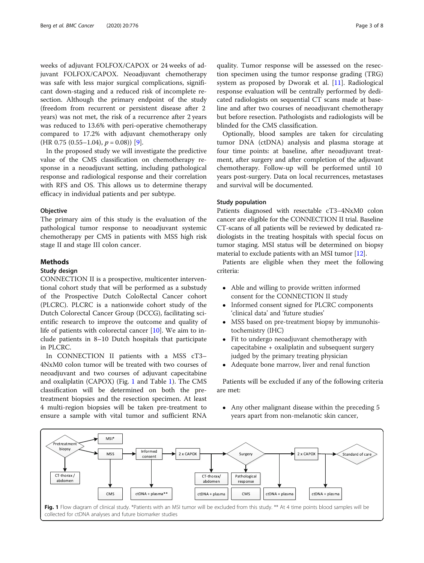weeks of adjuvant FOLFOX/CAPOX or 24 weeks of adjuvant FOLFOX/CAPOX. Neoadjuvant chemotherapy was safe with less major surgical complications, significant down-staging and a reduced risk of incomplete resection. Although the primary endpoint of the study (freedom from recurrent or persistent disease after 2 years) was not met, the risk of a recurrence after 2 years was reduced to 13.6% with peri-operative chemotherapy compared to 17.2% with adjuvant chemotherapy only  $(HR 0.75 (0.55-1.04), p = 0.08)$  [\[9](#page-6-0)].

In the proposed study we will investigate the predictive value of the CMS classification on chemotherapy response in a neoadjuvant setting, including pathological response and radiological response and their correlation with RFS and OS. This allows us to determine therapy efficacy in individual patients and per subtype.

# **Objective**

The primary aim of this study is the evaluation of the pathological tumor response to neoadjuvant systemic chemotherapy per CMS in patients with MSS high risk stage II and stage III colon cancer.

# Methods

# Study design

CONNECTION II is a prospective, multicenter interventional cohort study that will be performed as a substudy of the Prospective Dutch ColoRectal Cancer cohort (PLCRC). PLCRC is a nationwide cohort study of the Dutch Colorectal Cancer Group (DCCG), facilitating scientific research to improve the outcome and quality of life of patients with colorectal cancer [\[10](#page-6-0)]. We aim to include patients in 8–10 Dutch hospitals that participate in PLCRC.

In CONNECTION II patients with a MSS cT3– 4NxM0 colon tumor will be treated with two courses of neoadjuvant and two courses of adjuvant capecitabine and oxaliplatin (CAPOX) (Fig. 1 and Table [1\)](#page-3-0). The CMS classification will be determined on both the pretreatment biopsies and the resection specimen. At least 4 multi-region biopsies will be taken pre-treatment to ensure a sample with vital tumor and sufficient RNA

quality. Tumor response will be assessed on the resection specimen using the tumor response grading (TRG) system as proposed by Dworak et al. [[11](#page-6-0)]. Radiological response evaluation will be centrally performed by dedicated radiologists on sequential CT scans made at baseline and after two courses of neoadjuvant chemotherapy but before resection. Pathologists and radiologists will be blinded for the CMS classification.

Optionally, blood samples are taken for circulating tumor DNA (ctDNA) analysis and plasma storage at four time points: at baseline, after neoadjuvant treatment, after surgery and after completion of the adjuvant chemotherapy. Follow-up will be performed until 10 years post-surgery. Data on local recurrences, metastases and survival will be documented.

# Study population

Patients diagnosed with resectable cT3–4NxM0 colon cancer are eligible for the CONNECTION II trial. Baseline CT-scans of all patients will be reviewed by dedicated radiologists in the treating hospitals with special focus on tumor staging. MSI status will be determined on biopsy material to exclude patients with an MSI tumor [[12](#page-6-0)].

Patients are eligible when they meet the following criteria:

- Able and willing to provide written informed consent for the CONNECTION II study
- Informed consent signed for PLCRC components 'clinical data' and 'future studies'
- MSS based on pre-treatment biopsy by immunohistochemistry (IHC)
- Fit to undergo neoadjuvant chemotherapy with capecitabine + oxaliplatin and subsequent surgery judged by the primary treating physician
- Adequate bone marrow, liver and renal function

Patients will be excluded if any of the following criteria are met:

• Any other malignant disease within the preceding 5 years apart from non-melanotic skin cancer,

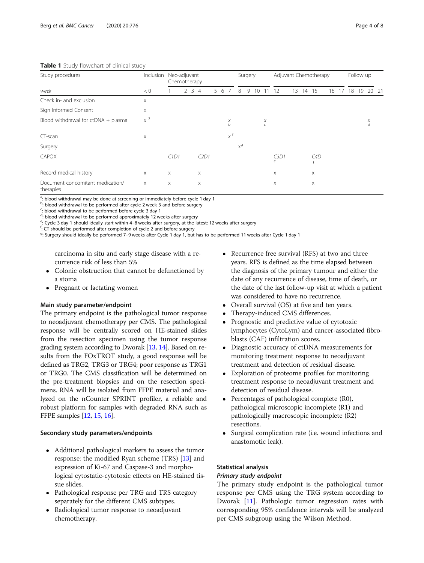# <span id="page-3-0"></span>Table 1 Study flowchart of clinical study

| $\overline{\phantom{a}}$<br>Study procedures<br>week | Inclusion | Neo-adjuvant<br>Chemotherapy |  |  |             |  |    |                         | Surgery |   |    |                 | Adjuvant Chemotherapy |    |    |     |    |  |    | Follow up |        |      |
|------------------------------------------------------|-----------|------------------------------|--|--|-------------|--|----|-------------------------|---------|---|----|-----------------|-----------------------|----|----|-----|----|--|----|-----------|--------|------|
|                                                      | < 0       |                              |  |  | $2 \t3 \t4$ |  | 56 |                         | 8       | 9 | 10 |                 | 12                    | 13 | 14 | 15  | 16 |  | 18 | 9         | 20     | - 21 |
| Check in- and exclusion                              | X         |                              |  |  |             |  |    |                         |         |   |    |                 |                       |    |    |     |    |  |    |           |        |      |
| Sign Informed Consent                                | X         |                              |  |  |             |  |    |                         |         |   |    |                 |                       |    |    |     |    |  |    |           |        |      |
| Blood withdrawal for $ctDNA + plasma$                | $x^a$     |                              |  |  |             |  |    | $\chi$<br>$\mathfrak b$ |         |   |    | Χ<br>$\epsilon$ |                       |    |    |     |    |  |    |           | Χ<br>d |      |
| CT-scan                                              | X         |                              |  |  |             |  |    | $x^f$                   |         |   |    |                 |                       |    |    |     |    |  |    |           |        |      |
| Surgery                                              |           |                              |  |  |             |  |    |                         | $x^g$   |   |    |                 |                       |    |    |     |    |  |    |           |        |      |
| <b>CAPOX</b>                                         |           | C1D1                         |  |  | C2D1        |  |    |                         |         |   |    |                 | C3D1<br>e             |    |    | C4D |    |  |    |           |        |      |
| Record medical history                               | $\times$  | X                            |  |  | $\mathsf X$ |  |    |                         |         |   |    |                 | X                     |    |    | X   |    |  |    |           |        |      |
| Document concomitant medication/<br>therapies        | X         | X                            |  |  | X           |  |    |                         |         |   |    |                 | X                     |    |    | X   |    |  |    |           |        |      |

<sup>a</sup>: blood withdrawal may be done at screening or immediately before cycle 1 day 1

<sup>b</sup>: blood withdrawal to be performed after cycle 2 week 3 and before surgery

<sup>c</sup>: blood withdrawal to be performed before cycle 3 day 1

<sup>d</sup>: blood withdrawal to be performed approximately 12 weeks after surgery

<sup>e</sup>: Cycle 3 day 1 should ideally start within 4–8 weeks after surgery, at the latest: 12 weeks after surgery for the latest after surgery

 $f:$  CT should be performed after completion of cycle 2 and before surgery

9: Surgery should ideally be performed 7–9 weeks after Cycle 1 day 1, but has to be performed 11 weeks after Cycle 1 day 1

carcinoma in situ and early stage disease with a recurrence risk of less than 5%

- Colonic obstruction that cannot be defunctioned by a stoma
- Pregnant or lactating women

# Main study parameter/endpoint

The primary endpoint is the pathological tumor response to neoadjuvant chemotherapy per CMS. The pathological response will be centrally scored on HE-stained slides from the resection specimen using the tumor response grading system according to Dworak [[13](#page-6-0), [14\]](#page-6-0). Based on results from the FOxTROT study, a good response will be defined as TRG2, TRG3 or TRG4; poor response as TRG1 or TRG0. The CMS classification will be determined on the pre-treatment biopsies and on the resection specimens. RNA will be isolated from FFPE material and analyzed on the nCounter SPRINT profiler, a reliable and robust platform for samples with degraded RNA such as FFPE samples [[12](#page-6-0), [15,](#page-6-0) [16\]](#page-6-0).

# Secondary study parameters/endpoints

- Additional pathological markers to assess the tumor response: the modified Ryan scheme (TRS) [\[13](#page-6-0)] and expression of Ki-67 and Caspase-3 and morphological cytostatic-cytotoxic effects on HE-stained tissue slides.
- Pathological response per TRG and TRS category separately for the different CMS subtypes.
- Radiological tumor response to neoadjuvant chemotherapy.
- Recurrence free survival (RFS) at two and three years. RFS is defined as the time elapsed between the diagnosis of the primary tumour and either the date of any recurrence of disease, time of death, or the date of the last follow-up visit at which a patient was considered to have no recurrence.
- Overall survival (OS) at five and ten years.
- Therapy-induced CMS differences.
- Prognostic and predictive value of cytotoxic lymphocytes (CytoLym) and cancer-associated fibroblasts (CAF) infiltration scores.
- Diagnostic accuracy of ctDNA measurements for monitoring treatment response to neoadjuvant treatment and detection of residual disease.
- Exploration of proteome profiles for monitoring treatment response to neoadjuvant treatment and detection of residual disease.
- Percentages of pathological complete (R0), pathological microscopic incomplete (R1) and pathologically macroscopic incomplete (R2) resections.
- Surgical complication rate (i.e. wound infections and anastomotic leak).

# Statistical analysis

# Primary study endpoint

The primary study endpoint is the pathological tumor response per CMS using the TRG system according to Dworak [\[11\]](#page-6-0). Pathologic tumor regression rates with corresponding 95% confidence intervals will be analyzed per CMS subgroup using the Wilson Method.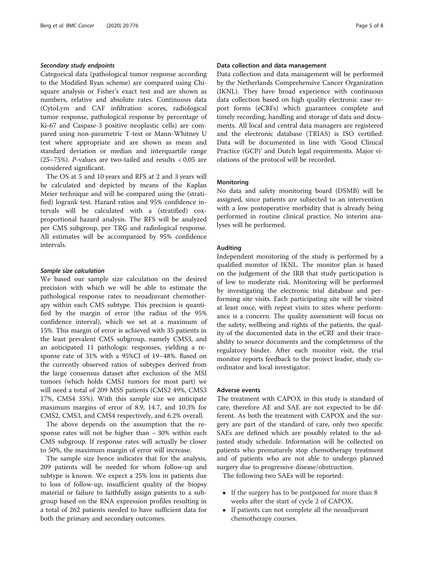# Secondary study endpoints

Categorical data (pathological tumor response according to the Modified Ryan scheme) are compared using Chisquare analysis or Fisher's exact test and are shown as numbers, relative and absolute rates. Continuous data (CytoLym and CAF infiltration scores, radiological tumor response, pathological response by percentage of Ki-67 and Caspase-3 positive neoplastic cells) are compared using non-parametric T-test or Mann-Whitney U test where appropriate and are shown as mean and standard deviation or median and interquartile range (25–75%). P-values are two-tailed and results < 0.05 are considered significant.

The OS at 5 and 10 years and RFS at 2 and 3 years will be calculated and depicted by means of the Kaplan Meier technique and will be compared using the (stratified) logrank test. Hazard ratios and 95% confidence intervals will be calculated with a (stratified) coxproportional hazard analysis. The RFS will be analyzed per CMS subgroup, per TRG and radiological response. All estimates will be accompanied by 95% confidence intervals.

# Sample size calculation

We based our sample size calculation on the desired precision with which we will be able to estimate the pathological response rates to neoadjuvant chemotherapy within each CMS subtype. This precision is quantified by the margin of error (the radius of the 95% confidence interval), which we set at a maximum of 15%. This margin of error is achieved with 35 patients in the least prevalent CMS subgroup, namely CMS3, and an anticipated 11 pathologic responses, yielding a response rate of 31% with a 95%CI of 19–48%. Based on the currently observed ratios of subtypes derived from the large consensus dataset after exclusion of the MSI tumors (which holds CMS1 tumors for most part) we will need a total of 209 MSS patients (CMS2 49%, CMS3 17%, CMS4 35%). With this sample size we anticipate maximum margins of error of 8.9, 14.7, and 10.3% for CMS2, CMS3, and CMS4 respectively, and 6.2% overall.

The above depends on the assumption that the response rates will not be higher than  $\sim$  30% within each CMS subgroup. If response rates will actually be closer to 50%, the maximum margin of error will increase.

The sample size hence indicates that for the analysis, 209 patients will be needed for whom follow-up and subtype is known. We expect a 25% loss in patients due to loss of follow-up, insufficient quality of the biopsy material or failure to faithfully assign patients to a subgroup based on the RNA expression profiles resulting in a total of 262 patients needed to have sufficient data for both the primary and secondary outcomes.

# Data collection and data management

Data collection and data management will be performed by the Netherlands Comprehensive Cancer Organization (IKNL). They have broad experience with continuous data collection based on high quality electronic case report forms (eCRFs) which guarantees complete and timely recording, handling and storage of data and documents. All local and central data managers are registered and the electronic database (TRIAS) is ISO certified. Data will be documented in line with 'Good Clinical Practice (GCP)' and Dutch legal requirements. Major violations of the protocol will be recorded.

# **Monitoring**

No data and safety monitoring board (DSMB) will be assigned, since patients are subjected to an intervention with a low postoperative morbidity that is already being performed in routine clinical practice. No interim analyses will be performed.

# Auditing

Independent monitoring of the study is performed by a qualified monitor of IKNL. The monitor plan is based on the judgement of the IRB that study participation is of low to moderate risk. Monitoring will be performed by investigating the electronic trial database and performing site visits. Each participating site will be visited at least once, with repeat visits to sites where performance is a concern. The quality assessment will focus on the safety, wellbeing and rights of the patients, the quality of the documented data in the eCRF and their traceability to source documents and the completeness of the regulatory binder. After each monitor visit, the trial monitor reports feedback to the project leader, study coordinator and local investigator.

# Adverse events

The treatment with CAPOX in this study is standard of care, therefore AE and SAE are not expected to be different. As both the treatment with CAPOX and the surgery are part of the standard of care, only two specific SAEs are defined which are possibly related to the adjusted study schedule. Information will be collected on patients who prematurely stop chemotherapy treatment and of patients who are not able to undergo planned surgery due to progressive disease/obstruction.

The following two SAEs will be reported:

- If the surgery has to be postponed for more than 8 weeks after the start of cycle 2 of CAPOX.
- If patients can not complete all the neoadjuvant chemotherapy courses.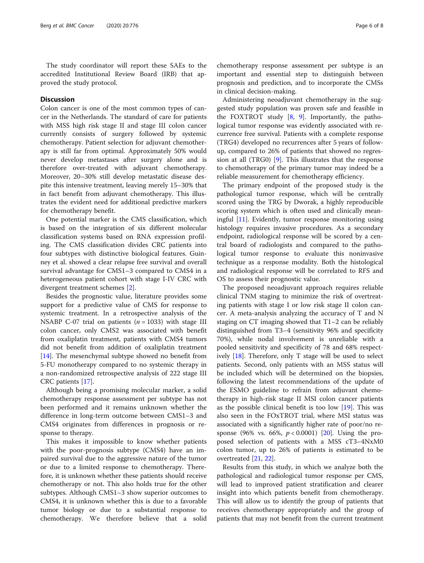The study coordinator will report these SAEs to the accredited Institutional Review Board (IRB) that approved the study protocol.

# **Discussion**

Colon cancer is one of the most common types of cancer in the Netherlands. The standard of care for patients with MSS high risk stage II and stage III colon cancer currently consists of surgery followed by systemic chemotherapy. Patient selection for adjuvant chemotherapy is still far from optimal. Approximately 50% would never develop metastases after surgery alone and is therefore over-treated with adjuvant chemotherapy. Moreover, 20–30% still develop metastatic disease despite this intensive treatment, leaving merely 15–30% that in fact benefit from adjuvant chemotherapy. This illustrates the evident need for additional predictive markers for chemotherapy benefit.

One potential marker is the CMS classification, which is based on the integration of six different molecular classification systems based on RNA expression profiling. The CMS classification divides CRC patients into four subtypes with distinctive biological features. Guinney et al. showed a clear relapse free survival and overall survival advantage for CMS1–3 compared to CMS4 in a heterogeneous patient cohort with stage I-IV CRC with divergent treatment schemes [[2\]](#page-6-0).

Besides the prognostic value, literature provides some support for a predictive value of CMS for response to systemic treatment. In a retrospective analysis of the NSABP C-07 trial on patients ( $n = 1033$ ) with stage III colon cancer, only CMS2 was associated with benefit from oxaliplatin treatment, patients with CMS4 tumors did not benefit from addition of oxaliplatin treatment [[14\]](#page-6-0). The mesenchymal subtype showed no benefit from 5-FU monotherapy compared to no systemic therapy in a non-randomized retrospective analysis of 222 stage III CRC patients [\[17\]](#page-7-0).

Although being a promising molecular marker, a solid chemotherapy response assessment per subtype has not been performed and it remains unknown whether the difference in long-term outcome between CMS1–3 and CMS4 originates from differences in prognosis or response to therapy.

This makes it impossible to know whether patients with the poor-prognosis subtype (CMS4) have an impaired survival due to the aggressive nature of the tumor or due to a limited response to chemotherapy. Therefore, it is unknown whether these patients should receive chemotherapy or not. This also holds true for the other subtypes. Although CMS1–3 show superior outcomes to CMS4, it is unknown whether this is due to a favorable tumor biology or due to a substantial response to chemotherapy. We therefore believe that a solid

chemotherapy response assessment per subtype is an important and essential step to distinguish between prognosis and prediction, and to incorporate the CMSs in clinical decision-making.

Administering neoadjuvant chemotherapy in the suggested study population was proven safe and feasible in the FOXTROT study [[8,](#page-6-0) [9\]](#page-6-0). Importantly, the pathological tumor response was evidently associated with recurrence free survival. Patients with a complete response (TRG4) developed no recurrences after 5 years of followup, compared to 26% of patients that showed no regression at all (TRG0) [[9\]](#page-6-0). This illustrates that the response to chemotherapy of the primary tumor may indeed be a reliable measurement for chemotherapy efficiency.

The primary endpoint of the proposed study is the pathological tumor response, which will be centrally scored using the TRG by Dworak, a highly reproducible scoring system which is often used and clinically meaningful [\[11](#page-6-0)]. Evidently, tumor response monitoring using histology requires invasive procedures. As a secondary endpoint, radiological response will be scored by a central board of radiologists and compared to the pathological tumor response to evaluate this noninvasive technique as a response modality. Both the histological and radiological response will be correlated to RFS and OS to assess their prognostic value.

The proposed neoadjuvant approach requires reliable clinical TNM staging to minimize the risk of overtreating patients with stage I or low risk stage II colon cancer. A meta-analysis analyzing the accuracy of T and N staging on CT imaging showed that T1–2 can be reliably distinguished from T3–4 (sensitivity 96% and specificity 70%), while nodal involvement is unreliable with a pooled sensitivity and specificity of 78 and 68% respectively  $[18]$  $[18]$ . Therefore, only T stage will be used to select patients. Second, only patients with an MSS status will be included which will be determined on the biopsies, following the latest recommendations of the update of the ESMO guideline to refrain from adjuvant chemotherapy in high-risk stage II MSI colon cancer patients as the possible clinical benefit is too low  $[19]$  $[19]$  $[19]$ . This was also seen in the FOxTROT trial, where MSI status was associated with a significantly higher rate of poor/no response (96% vs. 66%,  $p < 0.0001$ ) [\[20\]](#page-7-0). Using the proposed selection of patients with a MSS cT3–4NxM0 colon tumor, up to 26% of patients is estimated to be overtreated [[21,](#page-7-0) [22\]](#page-7-0).

Results from this study, in which we analyze both the pathological and radiological tumor response per CMS, will lead to improved patient stratification and clearer insight into which patients benefit from chemotherapy. This will allow us to identify the group of patients that receives chemotherapy appropriately and the group of patients that may not benefit from the current treatment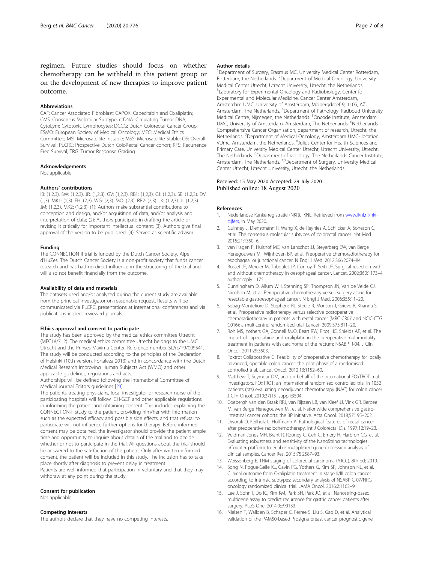<span id="page-6-0"></span>regimen. Future studies should focus on whether chemotherapy can be withheld in this patient group or on the development of new therapies to improve patient outcome.

#### Abbreviations

CAF: Cancer Associated Fibroblast; CAPOX: Capecitabin and Oxaliplatin; CMS: Consensus Molecular Subtype; ctDNA: Circulating Tumor DNA; CytoLym: Cytotoxic Lymphocytes; DCCG: Dutch Colorectal Cancer Group; ESMO: European Society of Medical Oncology; MEC: Medical Ethics Committee; MSI: Microsatellite Instable; MSS: Microsatellite Stable; OS: Overall Survival; PLCRC: Prospective Dutch ColoRectal Cancer cohort; RFS: Recurrence Free Survival; TRG: Tumor Response Grading

#### Acknowledgements

Not applicable.

#### Authors' contributions

IB: (1,2,3). SW: (1,2,3). JR: (1,2,3). GV: (1,2,3). RB1: (1,2,3). CJ: (1,2,3). SE: (1,2,3). DV: (1,3). MK1: (1,3). EH: (2,3). WG: (2,3). MO: (2,3). RB2: (2,3). JK: (1,2,3). JI: (1,2,3). JM: (1,2,3). MK2: (1,2,3). (1): Authors make substantial contributions to conception and design, and/or acquisition of data, and/or analysis and interpretation of data; (2): Authors participate in drafting the article or revising it critically for important intellectual content; (3): Authors give final approval of the version to be published. (4): Served as scientific advisor.

### Funding

The CONNECTION II trial is funded by the Dutch Cancer Society, Alpe d'HuZes. The Dutch Cancer Society is a non-profit society that funds cancer research and has had no direct influence in the structuring of the trial and will also not benefit financially from the outcome.

#### Availability of data and materials

The datasets used and/or analyzed during the current study are available from the principal investigator on reasonable request. Results will be communicated via PLCRC, presentations at international conferences and via publications in peer reviewed journals.

#### Ethics approval and consent to participate

The study has been approved by the medical ethics committee Utrecht (MEC18/712). The medical ethics committee Utrecht belongs to the UMC Utrecht and the Prinses Máxima Center. Reference number SL/rc/19/009541. The study will be conducted according to the principles of the Declaration of Helsinki (10th version, Fortaleza 2013) and in concordance with the Dutch Medical Research Improving Human Subjects Act (WMO) and other applicable guidelines, regulations and acts.

Authorships will be defined following the International Committee of Medical Journal Editors guidelines [\[23\]](#page-7-0).

The patients treating physicians, local investigator or research nurse of the participating hospitals will follow ICH-GCP and other applicable regulations in informing the patient and obtaining consent. This includes explaining the CONNECTION-II study to the patient, providing him/her with information such as the expected efficacy and possible side effects, and that refusal to participate will not influence further options for therapy. Before informed consent may be obtained, the investigator should provide the patient ample time and opportunity to inquire about details of the trial and to decide whether or not to participate in the trial. All questions about the trial should be answered to the satisfaction of the patient. Only after written informed consent, the patient will be included in this study. The inclusion has to take place shortly after diagnosis to prevent delay in treatment.

Patients are well informed that participation in voluntary and that they may withdraw at any point during the study.

#### Consent for publication

Not applicable.

### Competing interests

The authors declare that they have no competing interests.

### Author details

<sup>1</sup>Department of Surgery, Erasmus MC, University Medical Center Rotterdam, Rotterdam, the Netherlands. <sup>2</sup> Department of Medical Oncology, University Medical Center Utrecht, Utrecht University, Utrecht, the Netherlands. <sup>3</sup>Laboratory for Experimental Oncology and Radiobiology, Center for Experimental and Molecular Medicine, Cancer Center Amsterdam, Amsterdam UMC, University of Amsterdam, Meibergdreef 9, 1105, AZ, Amsterdam, The Netherlands. <sup>4</sup>Department of Pathology, Radboud University Medical Centre, Nijmegen, the Netherlands. <sup>5</sup>Oncode Institute, Amsterdam UMC, University of Amsterdam, Amsterdam, The Netherlands. <sup>6</sup>Netherlands Comprehensive Cancer Organisation, department of research, Utrecht, the Netherlands. <sup>7</sup>Department of Medical Oncology, Amsterdam UMC- location VUmc, Amsterdam, the Netherlands. <sup>8</sup>Julius Center for Health Sciences and Primary Care, University Medical Center Utrecht, Utrecht University, Utrecht, The Netherlands. <sup>9</sup>Department of radiology, The Netherlands Cancer Institute Amsterdam, The Netherlands. <sup>10</sup>Department of Surgery, University Medical Center Utrecht, Utrecht University, Utrecht, the Netherlands.

# Received: 15 May 2020 Accepted: 29 July 2020 Published online: 18 August 2020

### References

- 1. Nederlandse Kankerregistratie (NKR), IKNL. Retrieved from [www.iknl.nl/nkr](http://www.iknl.nl/nkr-cijfers)[cijfers,](http://www.iknl.nl/nkr-cijfers) in May 2020.
- Guinney J, Dienstmann R, Wang X, de Reynies A, Schlicker A, Soneson C, et al. The consensus molecular subtypes of colorectal cancer. Nat Med. 2015;21:1350–6.
- van Hagen P, Hulshof MC, van Lanschot JJ, Steyerberg EW, van Berge Henegouwen MI, Wijnhoven BP, et al. Preoperative chemoradiotherapy for esophageal or junctional cancer. N Engl J Med. 2012;366:2074–84.
- 4. Bosset JF, Mercier M, Triboulet JP, Conroy T, Seitz JF. Surgical resection with and without chemotherapy in oesophageal cancer. Lancet. 2002;360:1173–4 author reply 1175.
- 5. Cunningham D, Allum WH, Stenning SP, Thompson JN, Van de Velde CJ, Nicolson M, et al. Perioperative chemotherapy versus surgery alone for resectable gastroesophageal cancer. N Engl J Med. 2006;355:11–20.
- 6. Sebag-Montefiore D, Stephens RJ, Steele R, Monson J, Grieve R, Khanna S, et al. Preoperative radiotherapy versus selective postoperative chemoradiotherapy in patients with rectal cancer (MRC CR07 and NCIC-CTG C016): a multicentre, randomised trial. Lancet. 2009;373:811–20.
- 7. Roh MS, Yothers GA, Connell MJO, Beart RW, Pitot HC, Shields AF, et al. The impact of capecitabine and oxaliplatin in the preoperative multimodality treatment in patients with carcinoma of the rectum: NSABP R-04. J Clin Oncol. 2011;29:3503.
- 8. Foxtrot Collaborative G. Feasibility of preoperative chemotherapy for locally advanced, operable colon cancer: the pilot phase of a randomised controlled trial. Lancet Oncol. 2012;13:1152–60.
- 9. Matthew T, Seymour DM, and on behalf of the international FOxTROT trial investigators. FOxTROT: an international randomised controlled trial in 1052 patients (pts) evaluating neoadjuvant chemotherapy (NAC) for colon cancer. J Clin Oncol. 2019;37(15\_suppl):3504.
- 10. Coebergh van den Braak RRJ, van Rijssen LB, van Kleef JJ, Vink GR, Berbee M, van Berge Henegouwen MI, et al. Nationwide comprehensive gastrointestinal cancer cohorts: the 3P initiative. Acta Oncol. 2018;57:195–202.
- 11. Dworak O, Keilholz L, Hoffmann A. Pathological features of rectal cancer after preoperative radiochemotherapy. Int J Colorectal Dis. 1997;12:19–23.
- 12. Veldman-Jones MH, Brant R, Rooney C, Geh C, Emery H, Harbron CG, et al. Evaluating robustness and sensitivity of the NanoString technologies nCounter platform to enable multiplexed gene expression analysis of clinical samples. Cancer Res. 2015;75:2587–93.
- 13. Weissenberg E. TNM staging of colorectal carcinoma (AJCC). 8th ed; 2019.
- 14. Song N, Pogue-Geile KL, Gavin PG, Yothers G, Kim SR, Johnson NL, et al. Clinical outcome from Oxaliplatin treatment in stage II/III colon cancer according to intrinsic subtypes: secondary analysis of NSABP C-07/NRG oncology randomized clinical trial. JAMA Oncol. 2016;2:1162–9.
- 15. Lee J, Sohn I, Do IG, Kim KM, Park SH, Park JO, et al. Nanostring-based multigene assay to predict recurrence for gastric cancer patients after surgery. PLoS One. 2014;9:e90133.
- 16. Nielsen T, Wallden B, Schaper C, Ferree S, Liu S, Gao D, et al. Analytical validation of the PAM50-based Prosigna breast cancer prognostic gene